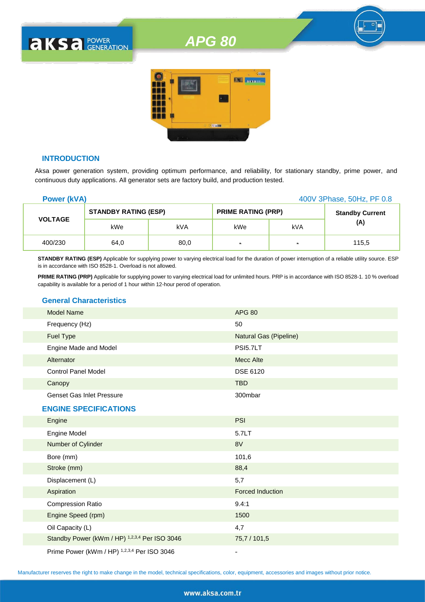# *APG 80*



# **INTRODUCTION**

**AKSA POWER** 

Aksa power generation system, providing optimum performance, and reliability, for stationary standby, prime power, and continuous duty applications. All generator sets are factory build, and production tested.

| <b>Power (kVA)</b> |                             |      |                           |                | 400V 3Phase, 50Hz, PF 0.8 |
|--------------------|-----------------------------|------|---------------------------|----------------|---------------------------|
|                    | <b>STANDBY RATING (ESP)</b> |      | <b>PRIME RATING (PRP)</b> |                | <b>Standby Current</b>    |
| <b>VOLTAGE</b>     | kWe                         | kVA  | kWe                       | kVA            | (A)                       |
| 400/230            | 64,0                        | 80,0 | $\blacksquare$            | $\blacksquare$ | 115,5                     |

**STANDBY RATING (ESP)** Applicable for supplying power to varying electrical load for the duration of power interruption of a reliable utility source. ESP is in accordance with ISO 8528-1. Overload is not allowed.

**PRIME RATING (PRP)** Applicable for supplying power to varying electrical load for unlimited hours. PRP is in accordance with ISO 8528-1. 10 % overload capability is available for a period of 1 hour within 12-hour perod of operation.

# **General Characteristics**

| <b>Model Name</b>                             | <b>APG 80</b>           |
|-----------------------------------------------|-------------------------|
| Frequency (Hz)                                | 50                      |
| <b>Fuel Type</b>                              | Natural Gas (Pipeline)  |
| Engine Made and Model                         | <b>PSI5.7LT</b>         |
| Alternator                                    | Mecc Alte               |
| <b>Control Panel Model</b>                    | DSE 6120                |
| Canopy                                        | <b>TBD</b>              |
| <b>Genset Gas Inlet Pressure</b>              | 300mbar                 |
| <b>ENGINE SPECIFICATIONS</b>                  |                         |
| Engine                                        | <b>PSI</b>              |
| Engine Model                                  | 5.7LT                   |
| Number of Cylinder                            | 8V                      |
| Bore (mm)                                     | 101,6                   |
| Stroke (mm)                                   | 88,4                    |
| Displacement (L)                              | 5,7                     |
| Aspiration                                    | <b>Forced Induction</b> |
| <b>Compression Ratio</b>                      | 9.4:1                   |
| Engine Speed (rpm)                            | 1500                    |
| Oil Capacity (L)                              | 4,7                     |
| Standby Power (kWm / HP) 1,2,3,4 Per ISO 3046 | 75,7 / 101,5            |
|                                               |                         |

Prime Power (kWm / HP) <sup>1,2,3,4</sup> Per ISO 3046

Manufacturer reserves the right to make change in the model, technical specifications, color, equipment, accessories and images without prior notice.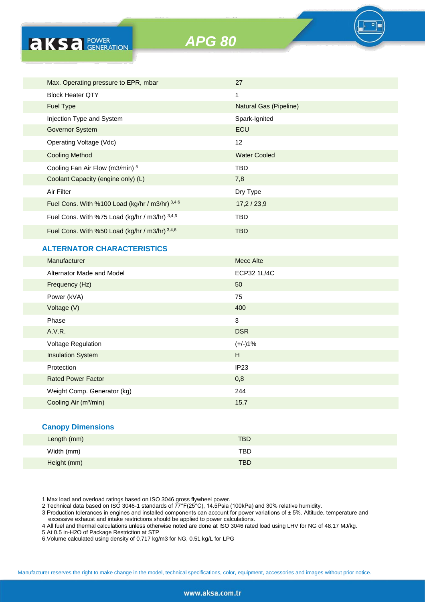**AKS** *B CENERATION* 

*APG 80*

| Max. Operating pressure to EPR, mbar            | 27                     |
|-------------------------------------------------|------------------------|
| <b>Block Heater OTY</b>                         | 1                      |
| <b>Fuel Type</b>                                | Natural Gas (Pipeline) |
| Injection Type and System                       | Spark-Ignited          |
| <b>Governor System</b>                          | ECU                    |
| Operating Voltage (Vdc)                         | 12                     |
| <b>Cooling Method</b>                           | <b>Water Cooled</b>    |
| Cooling Fan Air Flow (m3/min) 5                 | <b>TBD</b>             |
| Coolant Capacity (engine only) (L)              | 7,8                    |
| Air Filter                                      | Dry Type               |
| Fuel Cons. With %100 Load (kg/hr / m3/hr) 3,4,6 | 17,2/23,9              |
| Fuel Cons. With %75 Load (kg/hr / m3/hr) 3,4,6  | TBD                    |
| Fuel Cons. With %50 Load (kg/hr / m3/hr) 3,4,6  | <b>TBD</b>             |
|                                                 |                        |

# **ALTERNATOR CHARACTERISTICS**

| Manufacturer                      | <b>Mecc Alte</b> |
|-----------------------------------|------------------|
| Alternator Made and Model         | ECP32 1L/4C      |
| Frequency (Hz)                    | 50               |
| Power (kVA)                       | 75               |
| Voltage (V)                       | 400              |
| Phase                             | 3                |
| A.V.R.                            | <b>DSR</b>       |
| <b>Voltage Regulation</b>         | $(+/-)1%$        |
| <b>Insulation System</b>          | H                |
| Protection                        | IP <sub>23</sub> |
| <b>Rated Power Factor</b>         | 0,8              |
| Weight Comp. Generator (kg)       | 244              |
| Cooling Air (m <sup>3</sup> /min) | 15,7             |
|                                   |                  |
|                                   |                  |

# **Canopy Dimensions**

| Length (mm) | <b>TBD</b> |
|-------------|------------|
| Width (mm)  | TBD        |
| Height (mm) | <b>TBD</b> |

1 Max load and overload ratings based on ISO 3046 gross flywheel power.

2 Technical data based on ISO 3046-1 standards of 77°F(25°C), 14.5Psia (100kPa) and 30% relative humidity.

3 Production tolerances in engines and installed components can account for power variations of ± 5%. Altitude, temperature and excessive exhaust and intake restrictions should be applied to power calculations.

4 All fuel and thermal calculations unless otherwise noted are done at ISO 3046 rated load using LHV for NG of 48.17 MJ/kg.

5 At 0.5 in-H2O of Package Restriction at STP

6.Volume calculated using density of 0.717 kg/m3 for NG, 0.51 kg/L for LPG

Manufacturer reserves the right to make change in the model, technical specifications, color, equipment, accessories and images without prior notice.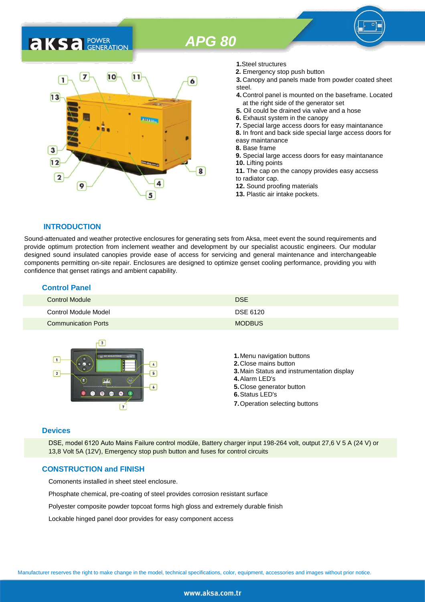# *APG 80*

# **AKSA** POWER



- **1.**Steel structures
- **2.** Emergency stop push button
- **3.** Canopy and panels made from powder coated sheet steel.
- **4.** Control panel is mounted on the baseframe. Located at the right side of the generator set
- **5.** Oil could be drained via valve and a hose
- **6.** Exhaust system in the canopy
- **7.** Special large access doors for easy maintanance
- **8.** In front and back side special large access doors for
- easy maintanance
- **8.** Base frame
- **9.** Special large access doors for easy maintanance **10.** Lifting points **11.** The cap on the canopy provides easy accsess
- to radiator cap.
- **12.** Sound proofing materials
- **13.** Plastic air intake pockets.

#### **INTRODUCTION**

Sound-attenuated and weather protective enclosures for generating sets from Aksa, meet event the sound requirements and provide optimum protection from inclement weather and development by our specialist acoustic engineers. Our modular designed sound insulated canopies provide ease of access for servicing and general maintenance and interchangeable components permitting on-site repair. Enclosures are designed to optimize genset cooling performance, providing you with confidence that genset ratings and ambient capability.

| <b>Control Panel</b>       |               |
|----------------------------|---------------|
| <b>Control Module</b>      | <b>DSE</b>    |
| Control Module Model       | DSE 6120      |
| <b>Communication Ports</b> | <b>MODBUS</b> |



#### **Devices**

DSE, model 6120 Auto Mains Failure control modüle, Battery charger input 198-264 volt, output 27,6 V 5 A (24 V) or 13,8 Volt 5A (12V), Emergency stop push button and fuses for control circuits

# **CONSTRUCTION and FINISH**

Comonents installed in sheet steel enclosure.

Phosphate chemical, pre-coating of steel provides corrosion resistant surface

Polyester composite powder topcoat forms high gloss and extremely durable finish

Lockable hinged panel door provides for easy component access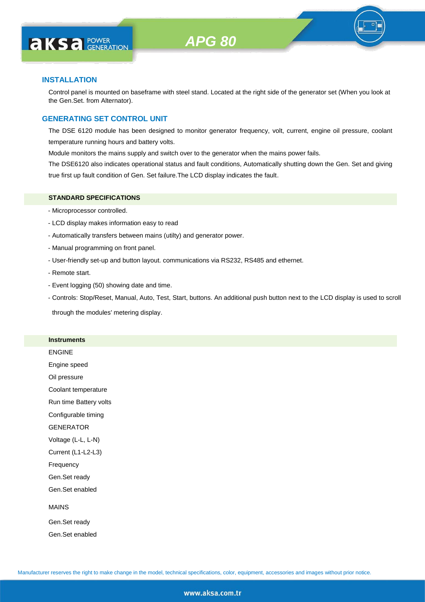

# **INSTALLATION**

Control panel is mounted on baseframe with steel stand. Located at the right side of the generator set (When you look at the Gen.Set. from Alternator).

# **GENERATING SET CONTROL UNIT**

The DSE 6120 module has been designed to monitor generator frequency, volt, current, engine oil pressure, coolant temperature running hours and battery volts.

Module monitors the mains supply and switch over to the generator when the mains power fails.

The DSE6120 also indicates operational status and fault conditions, Automatically shutting down the Gen. Set and giving true first up fault condition of Gen. Set failure.The LCD display indicates the fault.

# **STANDARD SPECIFICATIONS**

- Microprocessor controlled.
- LCD display makes information easy to read
- Automatically transfers between mains (utilty) and generator power.
- Manual programming on front panel.
- User-friendly set-up and button layout. communications via RS232, RS485 and ethernet.
- Remote start.
- Event logging (50) showing date and time.
- Controls: Stop/Reset, Manual, Auto, Test, Start, buttons. An additional push button next to the LCD display is used to scroll

through the modules' metering display.

#### **Instruments**

|  | ENGINE |  |
|--|--------|--|
|  |        |  |

Engine speed

Oil pressure

Coolant temperature

Run time Battery volts

Configurable timing

GENERATOR

Voltage (L-L, L-N)

Current (L1-L2-L3)

Frequency

Gen.Set ready

Gen.Set enabled

### MAINS

Gen.Set ready Gen.Set enabled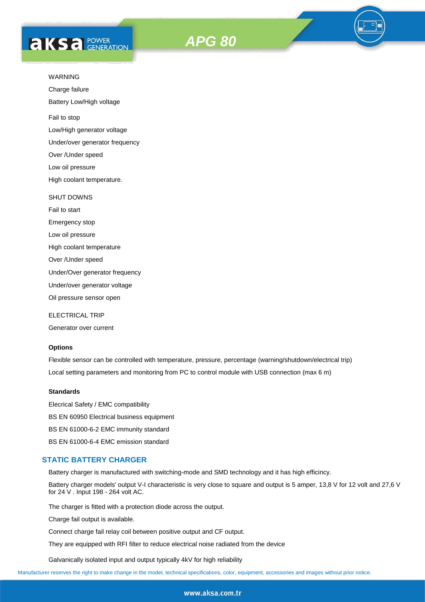



Charge failure

Battery Low/High voltage

Fail to stop

Low/High generator voltage

Under/over generator frequency

Over /Under speed

Low oil pressure

High coolant temperature.

#### SHUT DOWNS

Fail to start Emergency stop Low oil pressure

High coolant temperature

Over /Under speed

Under/Over generator frequency

Under/over generator voltage

Oil pressure sensor open

ELECTRICAL TRIP

Generator over current

# **Options**

Flexible sensor can be controlled with temperature, pressure, percentage (warning/shutdown/electrical trip) Local setting parameters and monitoring from PC to control module with USB connection (max 6 m)

### **Standards**

Elecrical Safety / EMC compatibility BS EN 60950 Electrical business equipment BS EN 61000-6-2 EMC immunity standard BS EN 61000-6-4 EMC emission standard

#### **STATIC BATTERY CHARGER**

Battery charger is manufactured with switching-mode and SMD technology and it has high efficincy.

Battery charger models' output V-I characteristic is very close to square and output is 5 amper, 13,8 V for 12 volt and 27,6 V for 24 V . Input 198 - 264 volt AC.

The charger is fitted with a protection diode across the output.

Charge fail output is available.

Connect charge fail relay coil between positive output and CF output.

They are equipped with RFI filter to reduce electrical noise radiated from the device

Galvanically isolated input and output typically 4kV for high reliability

Manufacturer reserves the right to make change in the model, technical specifications, color, equipment, accessories and images without prior notice.